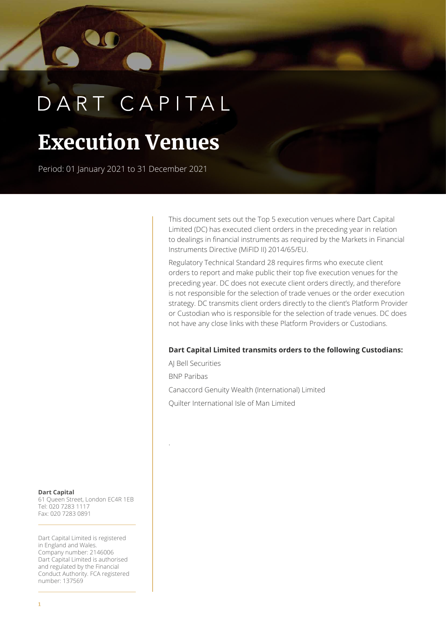# DART CAPITAL

## **Execution Venues**

Period: 01 January 2021 to 31 December 2021

This document sets out the Top 5 execution venues where Dart Capital Limited (DC) has executed client orders in the preceding year in relation to dealings in financial instruments as required by the Markets in Financial Instruments Directive (MiFID II) 2014/65/EU.

Regulatory Technical Standard 28 requires firms who execute client orders to report and make public their top five execution venues for the preceding year. DC does not execute client orders directly, and therefore is not responsible for the selection of trade venues or the order execution strategy. DC transmits client orders directly to the client's Platform Provider or Custodian who is responsible for the selection of trade venues. DC does not have any close links with these Platform Providers or Custodians.

#### **Dart Capital Limited transmits orders to the following Custodians:**

AJ Bell Securities BNP Paribas Canaccord Genuity Wealth (International) Limited Quilter International Isle of Man Limited

.

**Dart Capital** 61 Queen Street, London EC4R 1EB Tel: 020 7283 1117 Fax: 020 7283 0891

Dart Capital Limited is registered in England and Wales. Company number: 2146006 Dart Capital Limited is authorised and regulated by the Financial Conduct Authority. FCA registered number: 137569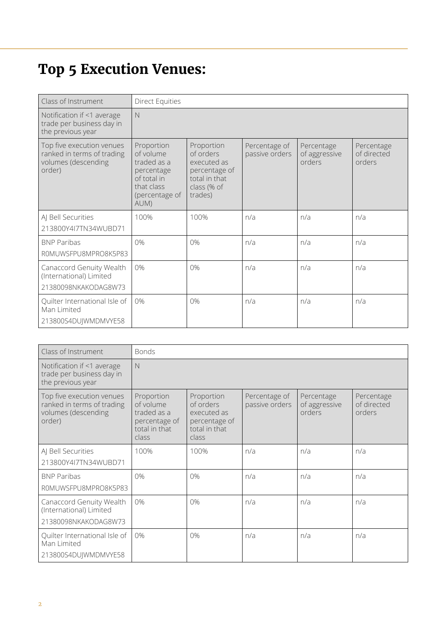### **Top 5 Execution Venues:**

| Class of Instrument                                                                      | <b>Direct Equities</b>                                                                                      |                                                                                                    |                                 |                                       |                                     |
|------------------------------------------------------------------------------------------|-------------------------------------------------------------------------------------------------------------|----------------------------------------------------------------------------------------------------|---------------------------------|---------------------------------------|-------------------------------------|
| Notification if <1 average<br>trade per business day in<br>the previous year             | N                                                                                                           |                                                                                                    |                                 |                                       |                                     |
| Top five execution venues<br>ranked in terms of trading<br>volumes (descending<br>order) | Proportion<br>of volume<br>traded as a<br>percentage<br>of total in<br>that class<br>(percentage of<br>AUM) | Proportion<br>of orders<br>executed as<br>percentage of<br>total in that<br>class (% of<br>trades) | Percentage of<br>passive orders | Percentage<br>of aggressive<br>orders | Percentage<br>of directed<br>orders |
| AJ Bell Securities<br>213800Y4I7TN34WUBD71                                               | 100%                                                                                                        | 100%                                                                                               | n/a                             | n/a                                   | n/a                                 |
| <b>BNP Paribas</b><br>ROMUWSFPU8MPRO8K5P83                                               | 0%                                                                                                          | 0%                                                                                                 | n/a                             | n/a                                   | n/a                                 |
| Canaccord Genuity Wealth<br>(International) Limited<br>21380098NKAKODAG8W73              | 0%                                                                                                          | 0%                                                                                                 | n/a                             | n/a                                   | n/a                                 |
| Quilter International Isle of<br>Man Limited<br>213800S4DUJWMDMVYE58                     | 0%                                                                                                          | 0%                                                                                                 | n/a                             | n/a                                   | n/a                                 |

| Class of Instrument                                                                      | <b>Bonds</b>                                                                      |                                                                                   |                                 |                                       |                                     |
|------------------------------------------------------------------------------------------|-----------------------------------------------------------------------------------|-----------------------------------------------------------------------------------|---------------------------------|---------------------------------------|-------------------------------------|
| Notification if <1 average<br>trade per business day in<br>the previous year             | N                                                                                 |                                                                                   |                                 |                                       |                                     |
| Top five execution venues<br>ranked in terms of trading<br>volumes (descending<br>order) | Proportion<br>of volume<br>traded as a<br>percentage of<br>total in that<br>class | Proportion<br>of orders<br>executed as<br>percentage of<br>total in that<br>class | Percentage of<br>passive orders | Percentage<br>of aggressive<br>orders | Percentage<br>of directed<br>orders |
| AJ Bell Securities<br>213800Y4I7TN34WUBD71                                               | 100%                                                                              | 100%                                                                              | n/a                             | n/a                                   | n/a                                 |
| <b>BNP Paribas</b><br>ROMUWSFPU8MPRO8K5P83                                               | 0%                                                                                | 0%                                                                                | n/a                             | n/a                                   | n/a                                 |
| Canaccord Genuity Wealth<br>(International) Limited<br>21380098NKAKODAG8W73              | 0%                                                                                | 0%                                                                                | n/a                             | n/a                                   | n/a                                 |
| Quilter International Isle of<br>Man Limited<br>213800S4DU WMDMVYE58                     | 0%                                                                                | 0%                                                                                | n/a                             | n/a                                   | n/a                                 |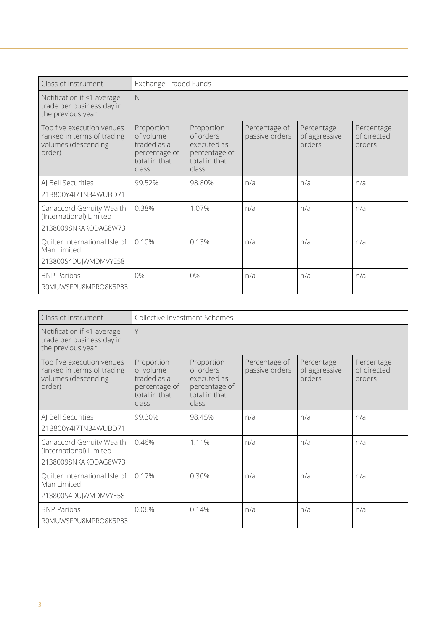| Class of Instrument                                                                      | Exchange Traded Funds                                                             |                                                                                   |                                 |                                       |                                     |
|------------------------------------------------------------------------------------------|-----------------------------------------------------------------------------------|-----------------------------------------------------------------------------------|---------------------------------|---------------------------------------|-------------------------------------|
| Notification if <1 average<br>trade per business day in<br>the previous year             | $\mathbb N$                                                                       |                                                                                   |                                 |                                       |                                     |
| Top five execution venues<br>ranked in terms of trading<br>volumes (descending<br>order) | Proportion<br>of volume<br>traded as a<br>percentage of<br>total in that<br>class | Proportion<br>of orders<br>executed as<br>percentage of<br>total in that<br>class | Percentage of<br>passive orders | Percentage<br>of aggressive<br>orders | Percentage<br>of directed<br>orders |
| AJ Bell Securities<br>213800Y4I7TN34WUBD71                                               | 99.52%                                                                            | 98.80%                                                                            | n/a                             | n/a                                   | n/a                                 |
| Canaccord Genuity Wealth<br>(International) Limited<br>21380098NKAKODAG8W73              | 0.38%                                                                             | 1.07%                                                                             | n/a                             | n/a                                   | n/a                                 |
| Quilter International Isle of<br>Man Limited<br>213800S4DUJWMDMVYE58                     | 0.10%                                                                             | 0.13%                                                                             | n/a                             | n/a                                   | n/a                                 |
| <b>BNP Paribas</b><br>ROMUWSFPU8MPRO8K5P83                                               | 0%                                                                                | 0%                                                                                | n/a                             | n/a                                   | n/a                                 |

| Class of Instrument                                                                      | Collective Investment Schemes                                                     |                                                                                   |                                 |                                       |                                     |
|------------------------------------------------------------------------------------------|-----------------------------------------------------------------------------------|-----------------------------------------------------------------------------------|---------------------------------|---------------------------------------|-------------------------------------|
| Notification if <1 average<br>trade per business day in<br>the previous year             | Y                                                                                 |                                                                                   |                                 |                                       |                                     |
| Top five execution venues<br>ranked in terms of trading<br>volumes (descending<br>order) | Proportion<br>of volume<br>traded as a<br>percentage of<br>total in that<br>class | Proportion<br>of orders<br>executed as<br>percentage of<br>total in that<br>class | Percentage of<br>passive orders | Percentage<br>of aggressive<br>orders | Percentage<br>of directed<br>orders |
| AJ Bell Securities<br>213800Y4I7TN34WUBD71                                               | 99.30%                                                                            | 98.45%                                                                            | n/a                             | n/a                                   | n/a                                 |
| Canaccord Genuity Wealth<br>(International) Limited<br>21380098NKAKODAG8W73              | 0.46%                                                                             | 1.11%                                                                             | n/a                             | n/a                                   | n/a                                 |
| Quilter International Isle of<br>Man Limited<br>213800S4DUJWMDMVYE58                     | 0.17%                                                                             | 0.30%                                                                             | n/a                             | n/a                                   | n/a                                 |
| <b>BNP Paribas</b><br>ROMUWSFPU8MPRO8K5P83                                               | 0.06%                                                                             | 0.14%                                                                             | n/a                             | n/a                                   | n/a                                 |